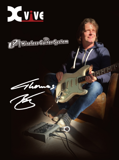





**U**O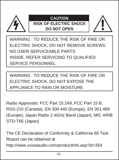

## **CAUTION**

**RISK OF ELECTRIC SHOCK DO NOT OPEN**



WARNING : TO REDUCE THE RISK OF FIRE OR ELECTRIC SHOCK, DO NOT REMOVE SCREWS. NO USER-SERVICEABLE PARTS INSIDE. REFER SERVICING TO QUALIFIED SERVICE PERSONNEL.

WARNING : TO REDUCE THE RISK OF FIRE OR ELECTRIC SHOCK, DO NOT EXPOSE THE APPLIANCE TO RAIN OR MOISTURE.

**Important Safety Instructions** Radio Approvals: FCC Part 15.249, FCC Part 15 B, RSS-210 (Canada), EN 300 440 (Europe), EN 301.489 (Europe), Japan Radio 2.4GHz Band (Japan), MIC ARIB STD-T66 (Japan)

The CE Declaration of Conformity & California 65 Test Report can be obtained at http://www.xviveaudio.com/productInfo.asp?id=354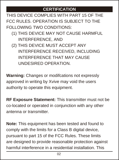# **CERTIFICATION**

THIS DEVICE COMPLIES WITH PART 15 OF THE FCC RULES. OPERATION IS SUBJECT TO THE FOLLOWING TWO CONDITIONS:

- (1) THIS DEVICE MAY NOT CAUSE HARMFUL INTERFERENCE, AND
- (2) THIS DEVICE MUST ACCEPT ANY INTERFERENCE RECEIVED, INCLUDING INTERFERENCE THAT MAY CAUSE UNDESIRED OPERATION.

**Warning:** Changes or modifcations not expressly approved in writing by Xvive may void the users authority to operate this equipment.

**RF Exposure Statement:** This transmitter must not be co-located or operated in conjunction with any other antenna or transmitter.

**Note:** This equipment has been tested and found to comply with the limits for a Class B digital device, pursuant to part 15 of the FCC Rules. These limits are designed to provide reasonable protection against harmful interference in a residential installation. This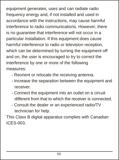equipment generates, uses and can radiate radio frequency energy and, if not installed and used in accordance with the instructions, may cause harmful interference to radio communications. However, there is no guarantee that interference will not occur in a particular installation. If this equipment does cause harmful interference to radio or television reception, which can be determined by turning the equipment off and on, the user is encouraged to try to correct the interference by one or more of the following measures:

- Reorient or relocate the receiving antenna.
- Increase the separation between the equipment and receiver.
- Connect the equipment into an outlet on a circuit different from that to which the receiver is connected.
- Consult the dealer or an experienced radio/TV technician for help.

This Class B digital apparatus complies with Canadian ICES-003.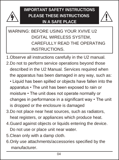

**IMPORTANT SAFETY INSTRUCTIONS PLEASE THESE INSTRUCTIONS IN A SAFE PLACE**



# WARNING: BEFORE USING YOUR XVIVE U2 DIGITAL WIRELESS SYSTEM, CAREFULLY READ THE OPERATING INSTRUCTIONS.

- 1.Observe all instructions carefully in the U2 manual.
- 2.Do not to perform service operations beyond those described in the U2 Manual. Services required when the apparatus has been damaged in any way, such as:
	- Liquid has been spilled or obiects have fallen into the apparatus • The unit has been exposed to rain or moisture • The unit does not operate normally or changes in performance in a significant way  $\cdot$  The unit is dropped or the enclosure is damaged
- 3.Do not place near heat sources, such as radiators, heat registers, or appliances which produce heat.
- 4.Guard against objects or liquids entering the device. Do not use or place unit near water.
- 5.Clean only with a damp cloth.
- 6.Only use attachments/accessories specified by the manufacturer.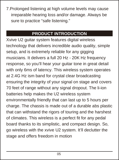7.Prolonged listening at high volume levels may cause irreparable hearing loss and/or damage. Always be sure to practice "safe listening."

# **PRODUCT INTRODUCTION**

Xvive U2 guitar system features digital wireless technology that delivers incredible audio quality, simple setup, and is extremely reliable for any gigging musicians. It delivers a full 20 Hz - 20K Hz frequency response, so you'll hear your guitar tone in great detail with only 6ms of latency. This wireless system operates at 2.4G Hz ism band for crystal clear broadcasting ensuring the integrity of your signal on stage and covers 70 feet of range without any signal dropout. The li-ion batteries help makes the U2 wireless system environmentally friendly that can last up to 5 hours per charge. The chassis is made out of a durable abs plastic that can withstand the rigors of touring and the harshest of climates. This wireless is a perfect fit for any pedal board thanks to its simplistic, and compact design. So, go wireless with the xvive U2 system. It'll declutter the stage and offers freedom in motion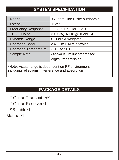# **SYSTEM SPECIFICATION**

| Range                                                                                                     | >70 feet Line-0-site outdoors.* |
|-----------------------------------------------------------------------------------------------------------|---------------------------------|
| Latency                                                                                                   | $<$ 6ms                         |
| <b>Frequency Response</b>                                                                                 | 20-20K Hz,+1dB/-3dB             |
| THD + Noise                                                                                               | <0.05%(1K Hz @-10dbFS)          |
| <b>Dynamic Range</b>                                                                                      | >103dB A weighted               |
| <b>Operating Band</b>                                                                                     | 2.4G Hz ISM Worldwide           |
| <b>Operating Temperature</b>                                                                              | -10°C to 50°C                   |
| Sample Rate                                                                                               | 24bit/48K Hz uncompressed       |
|                                                                                                           | digital transmission            |
| *Note: Actual range is dependent on RF environment,<br>including reflections, interference and absorption |                                 |

# **PACKAGE DETAILS**

U2 Guitar Transmitter\*1 U2 Guitar Receiver\*1 USB cable\*1 Manual\*1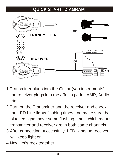# **QUICK START DIAGRAM**



- 1.Transmitter plugs into the Guitar (you instruments), the receiver plugs into the effects pedal, AMP, Audio, etc.
- 2.Turn on the Transmitter and the receiver and check the LED blue lights flashing times and make sure the blue led lights have same flashing times which means transmitter and receiver are in both same channels.
- 3.After connecting successfully, LED lights on receiver will keep light on.
- 4.Now, let's rock together.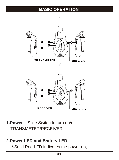### **BASIC OPERATION**



**1.Power** – Slide Switch to turn on/off TRANSMETER/RECEIVER

# **2.Power LED and Battery LED**

 $\triangle$  Solid Red LED indicates the power on,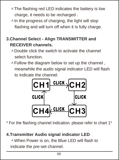- $\triangle$ The flashing red LED indicates the battery is low charge, it needs to be recharged .
- $\triangle$  In the progress of charging, the light will stop flashing and will turn off when it is fully charge.

#### **3.Channel Select - Align TRANSMITTER and RECEIVER channels.**

- $\lambda$  Double click the switch to activate the channel select function.
- $\triangle$  Follow the diagram below to set up the channel . meanwhile the audio signal indicator LED will flash to indicate the channel.



\* For the flashing channel indication, please refer to chart 1\*

# **4.Transmitter Audio signal indicator LED**

<sup> $\triangle$ </sup> When Power is on, the Blue LED will flash to indicate the pre-set channel.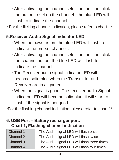- $\triangle$  After activating the channel selection function, click the button to set up the channel , the blue LED will flash to indicate the channel
- \* For the flicking channel indication, please refer to chart 1\*

#### **5.Receiver Audio Signal indicator LED**

- $\triangle$  When the power is on, the blue LED will flash to indicate the pre-set channel .
- $\triangle$  After activating the channel selection function, click the channel button, the blue LED will flash to indicate the channel
- <sup>A</sup>The Receiver audio signal indicator LED will become solid blue when the Transmitter and Receiver are in alignment.
- <sup>A</sup> When the signal is good, The receiver audio Signal indicator LED will become solid blue, it will start to flash if the signal is not good .

\*For the flashing channel indication, please refer to chart 1\*

# **6. USB Port – Battery recharger port.**

**Chart 1, Flashing channel indication** 

| Channel 1 | The Audio signal LED will flash once        |
|-----------|---------------------------------------------|
| Channel 2 | The Audio signal LED will flash twice       |
| Channel 3 | The Audio signal LED will flash three times |
| Channel 4 | The Audio signal LED will flash four times  |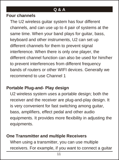#### **Q & A**

#### **Four channels**

The U2 wireless guitar system has four different channels, and can use up to 4 pair of systems at the same time. When your band plays for guitar, bass, keyboard and other instruments, U2 can set up different channels for them to prevent signal interference. When there is only one player, the different channel function can also be used for him/her to prevent interferences from different frequency bands of routers or other WIFI devices. Generally we recommend to use Channel 1

#### **Portable Plug-and- Play design**

U2 wireless system uses a portable design; both the receiver and the receiver are plug-and-play design. It is very convenient for fast switching among guitar, bass, amplifiers, effect pedal and other audio equipments. It provides more flexibility in adjusting the equipments.

#### **One Transmitter and multiple Receivers**

When using a transmitter, you can use multiple receivers. For example, if you want to connect a guitar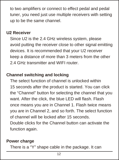to two amplifiers or connect to effect pedal and pedal tuner, you need just use multiple receivers with setting up to be the same channel.

#### **U2 Receiver**

Since U2 is the 2.4 GHz wireless system, please avoid putting the receiver close to other signal emitting devices. It is recommended that your U2 receiver keep a distance of more than 3 meters from the other 2.4 GHz transmitter and WIFI router.

#### **Channel switching and locking**

The select function of channel is unlocked within 15 seconds after the product is started. You can click the "Channel" button for selecting the channel that you want. After the click, the blue LED will flash. Flash. once means you are in Channel 1. Flash twice means you are in Channel 2, and so forth. The select function of channel will be locked after 15 seconds. Double clicks for the Channel button can activate the function again.

#### **Power charge**

There is a "Y" shape cable in the package. It can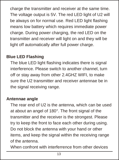charge the transmitter and receiver at the same time. The voltage output is 5V. The red LED light of U2 will be always on for normal use. Red LED light flashing means low battery which requires immediate power charge. During power charging, the red LED on the transmitter and receiver will light on and they will be light off automatically after full power charge.

#### **Blue LED Flashing**

The blue LED light flashing indicates there is signal interference. Please switch to another channel, turn off or stay away from other 2.4GHZ WIFI, to make sure the U2 transmitter and receiver antennae be in the signal receiving range.

#### **Antennae angle**

The rear end of U2 is the antenna, which can be used at about an angel of 180°. The front signal of the transmitter and the receiver is the strongest. Please try to keep the front to face each other during using. Do not block the antenna with your hand or other items, and keep the signal within the receiving range of the antenna.

When confront with interferrence from other devices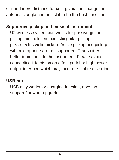or need more distance for using, you can change the antenna's angle and adjust it to be the best condition.

# **Supportive pickup and musical instrument**

U2 wireless system can works for passive guitar pickup, piezoelectric acoustic guitar pickup, piezoelectric violin pickup. Active pickup and pickup with microphone are not supported. Transmitter is better to connect to the instrument. Please avoid connecting it to distortion effect pedal or high power output interface which may incur the timbre distortion.

#### **USB port**

USB only works for charging function, does not support firmware upgrade.